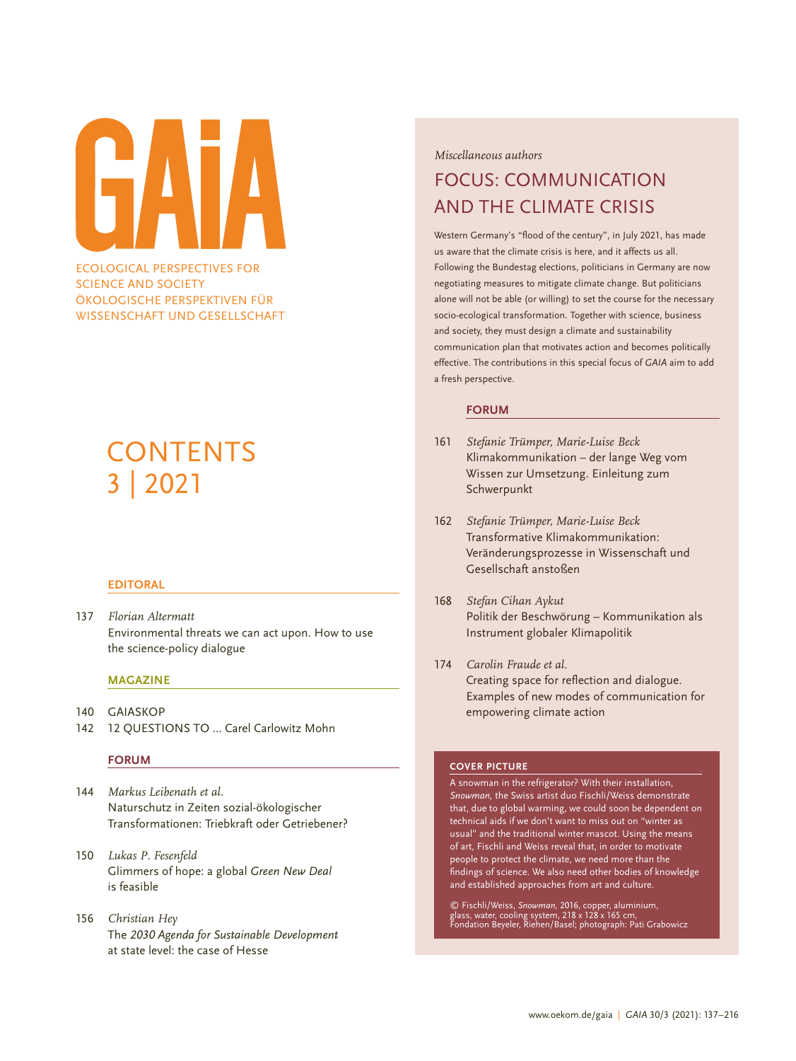ECOLOGICAL PERSPECTIVES FOR

SCIENCE AND SOCIETY ÖKOLOGISCHE PERSPEKTIVEN FÜR WISSENSCHAFT UND GESELLSCHAFT

# **CONTENTS** 3 | 2021

### **EDITORAL**

137 *Florian Altermatt* Environmental threats we can act upon. How to use the science-policy dialogue

#### **MAGAZINE**

- 140 GAIASKOP
- 142 12 QUESTIONS TO ... Carel Carlowitz Mohn

#### **FORUM**

- 144 *Markus Leibenath et al.*  Naturschutz in Zeiten sozial-ökologischer Transformationen: Triebkraft oder Getriebener?
- 150 *Lukas P. Fesenfeld* Glimmers of hope: a global *Green New Deal* is feasible
- 156 *Christian Hey*  The *2030 Agenda for Sustainable Development* at state level: the case of Hesse

*Miscellaneous authors*

## FOCUS: COMMUNICATION AND THE CLIMATE CRISIS

Western Germany's "flood of the century", in July 2021, has made us aware that the climate crisis is here, and it affects us all. Following the Bundestag elections, politicians in Germany are now negotiating measures to mitigate climate change. But politicians alone will not be able (or willing) to set the course for the necessary socio-ecological transformation. Together with science, business and society, they must design a climate and sustainability communication plan that motivates action and becomes politically effective. The contributions in this special focus of *GAIA* aim to add a fresh perspective.

#### **FORUM**

- 161 *Stefanie Trümper, Marie-Luise Beck* Klimakommunikation – der lange Weg vom Wissen zur Umsetzung. Einleitung zum Schwerpunkt
- 162 *Stefanie Trümper, Marie-Luise Beck* Transformative Klimakommunikation: Veränderungsprozesse in Wissenschaft und Gesellschaft anstoßen
- 168 *Stefan Cihan Aykut* Politik der Beschwörung – Kommunikation als Instrument globaler Klimapolitik
- 174 *Carolin Fraude et al.* Creating space for reflection and dialogue. Examples of new modes of communication for empowering climate action

#### **COVER PICTURE**

A snowman in the refrigerator? With their installation, *Snowman,* the Swiss artist duo Fischli/Weiss demonstrate that, due to global warming, we could soon be dependent on technical aids if we don't want to miss out on "winter as usual" and the traditional winter mascot. Using the means of art, Fischli and Weiss reveal that, in order to motivate people to protect the climate, we need more than the findings of science. We also need other bodies of knowledge and established approaches from art and culture.

© Fischli/Weiss, *Snowman,* 2016, copper, aluminium,<br>glass, water, cooling system, 218 x 128 x 165 cm,<br>Fondation Beyeler, Riehen/Basel; photograph: Pati Grabowicz